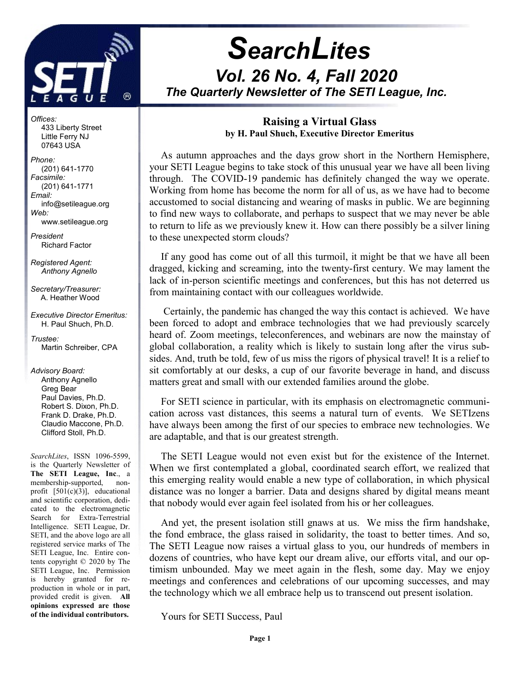

# **SearchLites** Vol. 26 No. 4, Fall 2020 The Quarterly Newsletter of The SETI League, Inc. j

Offices: 433 Liberty Street Little Ferry NJ 07643 USA

Phone: (201) 641-1770 Facsimile: (201) 641-1771 Email: info@setileague.org Web: www.setileague.org

President Richard Factor

Registered Agent: Anthony Agnello

Secretary/Treasurer: A. Heather Wood

Executive Director Emeritus: H. Paul Shuch, Ph.D.

Trustee: Martin Schreiber, CPA

Advisory Board: Anthony Agnello Greg Bear Paul Davies, Ph.D. Robert S. Dixon, Ph.D. Frank D. Drake, Ph.D. Claudio Maccone, Ph.D. Clifford Stoll, Ph.D.

SearchLites, ISSN 1096-5599, is the Quarterly Newsletter of The SETI League, Inc., a membership-supported, nonprofit [501(c)(3)], educational and scientific corporation, dedicated to the electromagnetic Search for Extra-Terrestrial Intelligence. SETI League, Dr. SETI, and the above logo are all registered service marks of The SETI League, Inc. Entire contents copyright © 2020 by The SETI League, Inc. Permission is hereby granted for reproduction in whole or in part, provided credit is given. All opinions expressed are those of the individual contributors.

#### Raising a Virtual Glass by H. Paul Shuch, Executive Director Emeritus

As autumn approaches and the days grow short in the Northern Hemisphere, your SETI League begins to take stock of this unusual year we have all been living through. The COVID-19 pandemic has definitely changed the way we operate. Working from home has become the norm for all of us, as we have had to become accustomed to social distancing and wearing of masks in public. We are beginning to find new ways to collaborate, and perhaps to suspect that we may never be able to return to life as we previously knew it. How can there possibly be a silver lining to these unexpected storm clouds?

If any good has come out of all this turmoil, it might be that we have all been dragged, kicking and screaming, into the twenty-first century. We may lament the lack of in-person scientific meetings and conferences, but this has not deterred us from maintaining contact with our colleagues worldwide.

 Certainly, the pandemic has changed the way this contact is achieved. We have been forced to adopt and embrace technologies that we had previously scarcely heard of. Zoom meetings, teleconferences, and webinars are now the mainstay of global collaboration, a reality which is likely to sustain long after the virus subsides. And, truth be told, few of us miss the rigors of physical travel! It is a relief to sit comfortably at our desks, a cup of our favorite beverage in hand, and discuss matters great and small with our extended families around the globe.

For SETI science in particular, with its emphasis on electromagnetic communication across vast distances, this seems a natural turn of events. We SETIzens have always been among the first of our species to embrace new technologies. We are adaptable, and that is our greatest strength.

The SETI League would not even exist but for the existence of the Internet. When we first contemplated a global, coordinated search effort, we realized that this emerging reality would enable a new type of collaboration, in which physical distance was no longer a barrier. Data and designs shared by digital means meant that nobody would ever again feel isolated from his or her colleagues.

And yet, the present isolation still gnaws at us. We miss the firm handshake, the fond embrace, the glass raised in solidarity, the toast to better times. And so, The SETI League now raises a virtual glass to you, our hundreds of members in dozens of countries, who have kept our dream alive, our efforts vital, and our optimism unbounded. May we meet again in the flesh, some day. May we enjoy meetings and conferences and celebrations of our upcoming successes, and may the technology which we all embrace help us to transcend out present isolation.

Yours for SETI Success, Paul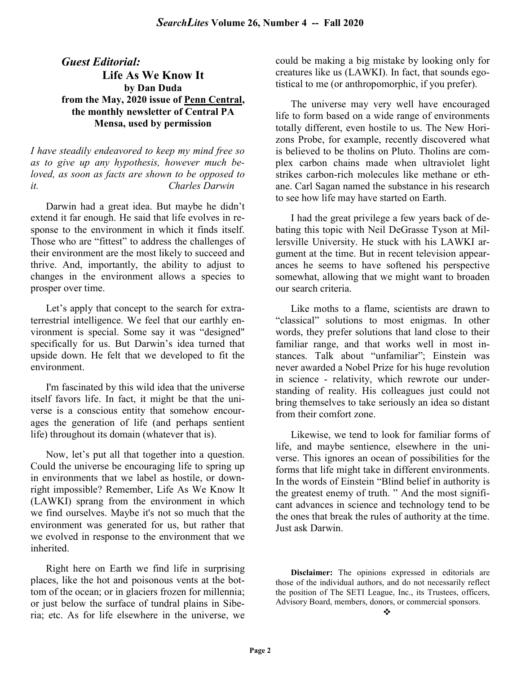### Guest Editorial: Life As We Know It by Dan Duda from the May, 2020 issue of Penn Central, the monthly newsletter of Central PA Mensa, used by permission

I have steadily endeavored to keep my mind free so as to give up any hypothesis, however much beloved, as soon as facts are shown to be opposed to it. Charles Darwin

Darwin had a great idea. But maybe he didn't extend it far enough. He said that life evolves in response to the environment in which it finds itself. Those who are "fittest" to address the challenges of their environment are the most likely to succeed and thrive. And, importantly, the ability to adjust to changes in the environment allows a species to prosper over time.

Let's apply that concept to the search for extraterrestrial intelligence. We feel that our earthly environment is special. Some say it was "designed" specifically for us. But Darwin's idea turned that upside down. He felt that we developed to fit the environment.

I'm fascinated by this wild idea that the universe itself favors life. In fact, it might be that the universe is a conscious entity that somehow encourages the generation of life (and perhaps sentient life) throughout its domain (whatever that is).

Now, let's put all that together into a question. Could the universe be encouraging life to spring up in environments that we label as hostile, or downright impossible? Remember, Life As We Know It (LAWKI) sprang from the environment in which we find ourselves. Maybe it's not so much that the environment was generated for us, but rather that we evolved in response to the environment that we inherited.

Right here on Earth we find life in surprising places, like the hot and poisonous vents at the bottom of the ocean; or in glaciers frozen for millennia; or just below the surface of tundral plains in Siberia; etc. As for life elsewhere in the universe, we could be making a big mistake by looking only for creatures like us (LAWKI). In fact, that sounds egotistical to me (or anthropomorphic, if you prefer).

The universe may very well have encouraged life to form based on a wide range of environments totally different, even hostile to us. The New Horizons Probe, for example, recently discovered what is believed to be tholins on Pluto. Tholins are complex carbon chains made when ultraviolet light strikes carbon-rich molecules like methane or ethane. Carl Sagan named the substance in his research to see how life may have started on Earth.

I had the great privilege a few years back of debating this topic with Neil DeGrasse Tyson at Millersville University. He stuck with his LAWKI argument at the time. But in recent television appearances he seems to have softened his perspective somewhat, allowing that we might want to broaden our search criteria.

Like moths to a flame, scientists are drawn to "classical" solutions to most enigmas. In other words, they prefer solutions that land close to their familiar range, and that works well in most instances. Talk about "unfamiliar"; Einstein was never awarded a Nobel Prize for his huge revolution in science - relativity, which rewrote our understanding of reality. His colleagues just could not bring themselves to take seriously an idea so distant from their comfort zone.

Likewise, we tend to look for familiar forms of life, and maybe sentience, elsewhere in the universe. This ignores an ocean of possibilities for the forms that life might take in different environments. In the words of Einstein "Blind belief in authority is the greatest enemy of truth. " And the most significant advances in science and technology tend to be the ones that break the rules of authority at the time. Just ask Darwin.

Disclaimer: The opinions expressed in editorials are those of the individual authors, and do not necessarily reflect the position of The SETI League, Inc., its Trustees, officers, Advisory Board, members, donors, or commercial sponsors.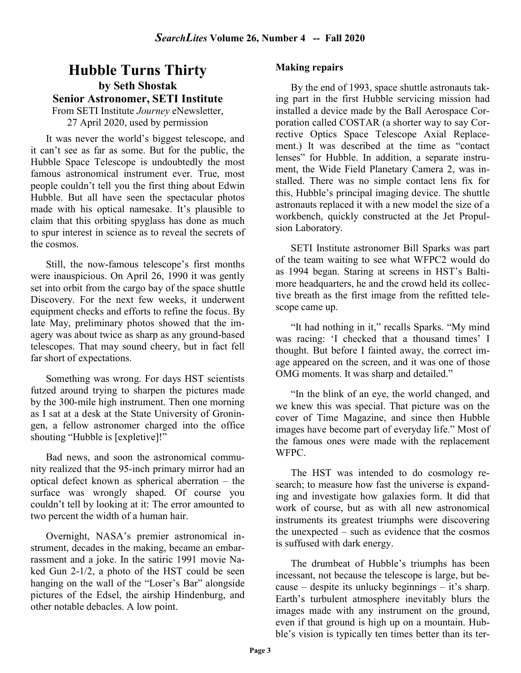### Hubble Turns Thirty by Seth Shostak Senior Astronomer, SETI Institute

From SETI Institute *Journey* eNewsletter, 27 April 2020, used by permission

It was never the world's biggest telescope, and it can't see as far as some. But for the public, the Hubble Space Telescope is undoubtedly the most famous astronomical instrument ever. True, most people couldn't tell you the first thing about Edwin Hubble. But all have seen the spectacular photos made with his optical namesake. It's plausible to claim that this orbiting spyglass has done as much to spur interest in science as to reveal the secrets of the cosmos.

Still, the now-famous telescope's first months were inauspicious. On April 26, 1990 it was gently set into orbit from the cargo bay of the space shuttle Discovery. For the next few weeks, it underwent equipment checks and efforts to refine the focus. By late May, preliminary photos showed that the imagery was about twice as sharp as any ground-based telescopes. That may sound cheery, but in fact fell far short of expectations.

Something was wrong. For days HST scientists futzed around trying to sharpen the pictures made by the 300-mile high instrument. Then one morning as I sat at a desk at the State University of Groningen, a fellow astronomer charged into the office shouting "Hubble is [expletive]!"

Bad news, and soon the astronomical community realized that the 95-inch primary mirror had an optical defect known as spherical aberration – the surface was wrongly shaped. Of course you couldn't tell by looking at it: The error amounted to two percent the width of a human hair.

Overnight, NASA's premier astronomical instrument, decades in the making, became an embarrassment and a joke. In the satiric 1991 movie Naked Gun 2-1/2, a photo of the HST could be seen hanging on the wall of the "Loser's Bar" alongside pictures of the Edsel, the airship Hindenburg, and other notable debacles. A low point.

#### Making repairs

By the end of 1993, space shuttle astronauts taking part in the first Hubble servicing mission had installed a device made by the Ball Aerospace Corporation called COSTAR (a shorter way to say Corrective Optics Space Telescope Axial Replacement.) It was described at the time as "contact lenses" for Hubble. In addition, a separate instrument, the Wide Field Planetary Camera 2, was installed. There was no simple contact lens fix for this, Hubble's principal imaging device. The shuttle astronauts replaced it with a new model the size of a workbench, quickly constructed at the Jet Propulsion Laboratory.

SETI Institute astronomer Bill Sparks was part of the team waiting to see what WFPC2 would do as 1994 began. Staring at screens in HST's Baltimore headquarters, he and the crowd held its collective breath as the first image from the refitted telescope came up.

"It had nothing in it," recalls Sparks. "My mind was racing: 'I checked that a thousand times' I thought. But before I fainted away, the correct image appeared on the screen, and it was one of those OMG moments. It was sharp and detailed."

"In the blink of an eye, the world changed, and we knew this was special. That picture was on the cover of Time Magazine, and since then Hubble images have become part of everyday life." Most of the famous ones were made with the replacement WFPC.

The HST was intended to do cosmology research; to measure how fast the universe is expanding and investigate how galaxies form. It did that work of course, but as with all new astronomical instruments its greatest triumphs were discovering the unexpected – such as evidence that the cosmos is suffused with dark energy.

The drumbeat of Hubble's triumphs has been incessant, not because the telescope is large, but because – despite its unlucky beginnings – it's sharp. Earth's turbulent atmosphere inevitably blurs the images made with any instrument on the ground, even if that ground is high up on a mountain. Hubble's vision is typically ten times better than its ter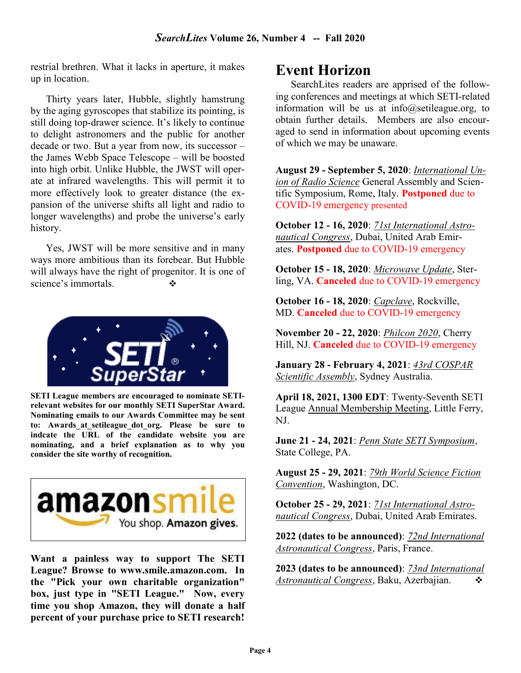restrial brethren. What it lacks in aperture, it makes up in location.

Thirty years later, Hubble, slightly hamstrung by the aging gyroscopes that stabilize its pointing, is still doing top-drawer science. It's likely to continue to delight astronomers and the public for another decade or two. But a year from now, its successor – the James Webb Space Telescope – will be boosted into high orbit. Unlike Hubble, the JWST will operate at infrared wavelengths. This will permit it to more effectively look to greater distance (the expansion of the universe shifts all light and radio to longer wavelengths) and probe the universe's early history.

Yes, JWST will be more sensitive and in many ways more ambitious than its forebear. But Hubble will always have the right of progenitor. It is one of science's immortals.



SETI League members are encouraged to nominate SETIrelevant websites for our monthly SETI SuperStar Award. Nominating emails to our Awards Committee may be sent to: Awards at setileague dot org. Please be sure to indcate the URL of the candidate website you are nominating, and a brief explanation as to why you consider the site worthy of recognition.



Want a painless way to support The SETI League? Browse to www.smile.amazon.com. In the "Pick your own charitable organization" box, just type in "SETI League." Now, every time you shop Amazon, they will donate a half percent of your purchase price to SETI research!

# Event Horizon

SearchLites readers are apprised of the following conferences and meetings at which SETI-related information will be us at info@setileague.org, to obtain further details. Members are also encouraged to send in information about upcoming events of which we may be unaware.

August 29 - September 5, 2020: International Union of Radio Science General Assembly and Scientific Symposium, Rome, Italy. Postponed due to COVID-19 emergency presented

October 12 - 16, 2020: 71st International Astronautical Congress, Dubai, United Arab Emirates. Postponed due to COVID-19 emergency

October 15 - 18, 2020: Microwave Update, Sterling, VA. Canceled due to COVID-19 emergency

October 16 - 18, 2020: Capclave, Rockville, MD. **Canceled** due to COVID-19 emergency

November 20 - 22, 2020: Philcon 2020, Cherry Hill, NJ. **Canceled** due to COVID-19 emergency

January 28 - February 4, 2021: 43rd COSPAR Scientific Assembly, Sydney Australia.

April 18, 2021, 1300 EDT: Twenty-Seventh SETI League Annual Membership Meeting, Little Ferry, NJ.

June 21 - 24, 2021: Penn State SETI Symposium, State College, PA.

August 25 - 29, 2021: 79th World Science Fiction Convention, Washington, DC.

October 25 - 29, 2021: 71st International Astronautical Congress, Dubai, United Arab Emirates.

2022 (dates to be announced): **72nd International** Astronautical Congress, Paris, France.

2023 (dates to be announced): **73nd International** Astronautical Congress, Baku, Azerbajian.  $\bullet$